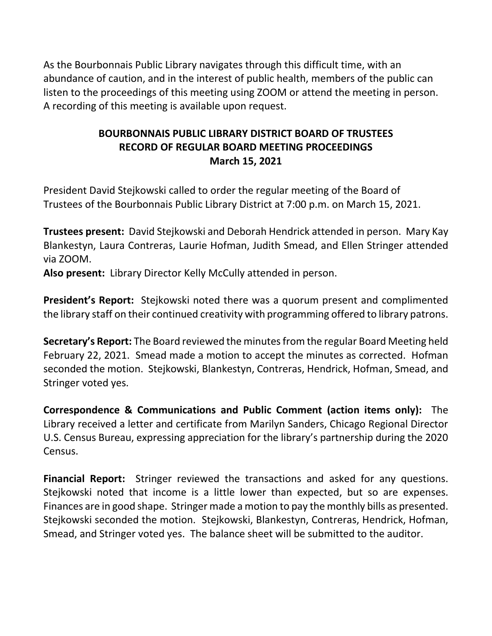As the Bourbonnais Public Library navigates through this difficult time, with an abundance of caution, and in the interest of public health, members of the public can listen to the proceedings of this meeting using ZOOM or attend the meeting in person. A recording of this meeting is available upon request.

# **BOURBONNAIS PUBLIC LIBRARY DISTRICT BOARD OF TRUSTEES RECORD OF REGULAR BOARD MEETING PROCEEDINGS March 15, 2021**

President David Stejkowski called to order the regular meeting of the Board of Trustees of the Bourbonnais Public Library District at 7:00 p.m. on March 15, 2021.

**Trustees present:** David Stejkowski and Deborah Hendrick attended in person. Mary Kay Blankestyn, Laura Contreras, Laurie Hofman, Judith Smead, and Ellen Stringer attended via ZOOM.

**Also present:** Library Director Kelly McCully attended in person.

**President's Report:** Stejkowski noted there was a quorum present and complimented the library staff on their continued creativity with programming offered to library patrons.

**Secretary's Report:** The Board reviewed the minutes from the regular Board Meeting held February 22, 2021. Smead made a motion to accept the minutes as corrected. Hofman seconded the motion. Stejkowski, Blankestyn, Contreras, Hendrick, Hofman, Smead, and Stringer voted yes.

**Correspondence & Communications and Public Comment (action items only):** The Library received a letter and certificate from Marilyn Sanders, Chicago Regional Director U.S. Census Bureau, expressing appreciation for the library's partnership during the 2020 Census.

**Financial Report:** Stringer reviewed the transactions and asked for any questions. Stejkowski noted that income is a little lower than expected, but so are expenses. Finances are in good shape. Stringer made a motion to pay the monthly bills as presented. Stejkowski seconded the motion. Stejkowski, Blankestyn, Contreras, Hendrick, Hofman, Smead, and Stringer voted yes. The balance sheet will be submitted to the auditor.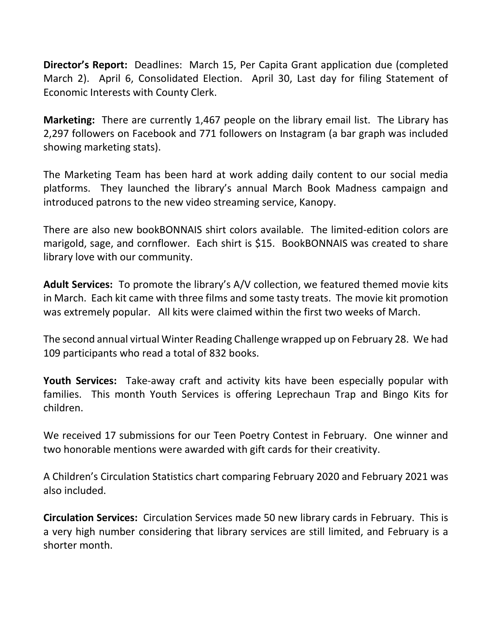**Director's Report:** Deadlines: March 15, Per Capita Grant application due (completed March 2). April 6, Consolidated Election. April 30, Last day for filing Statement of Economic Interests with County Clerk.

**Marketing:** There are currently 1,467 people on the library email list. The Library has 2,297 followers on Facebook and 771 followers on Instagram (a bar graph was included showing marketing stats).

The Marketing Team has been hard at work adding daily content to our social media platforms. They launched the library's annual March Book Madness campaign and introduced patrons to the new video streaming service, Kanopy.

There are also new bookBONNAIS shirt colors available. The limited-edition colors are marigold, sage, and cornflower. Each shirt is \$15. BookBONNAIS was created to share library love with our community.

**Adult Services:** To promote the library's A/V collection, we featured themed movie kits in March. Each kit came with three films and some tasty treats. The movie kit promotion was extremely popular. All kits were claimed within the first two weeks of March.

The second annual virtual Winter Reading Challenge wrapped up on February 28. We had 109 participants who read a total of 832 books.

**Youth Services:** Take-away craft and activity kits have been especially popular with families. This month Youth Services is offering Leprechaun Trap and Bingo Kits for children.

We received 17 submissions for our Teen Poetry Contest in February. One winner and two honorable mentions were awarded with gift cards for their creativity.

A Children's Circulation Statistics chart comparing February 2020 and February 2021 was also included.

**Circulation Services:** Circulation Services made 50 new library cards in February. This is a very high number considering that library services are still limited, and February is a shorter month.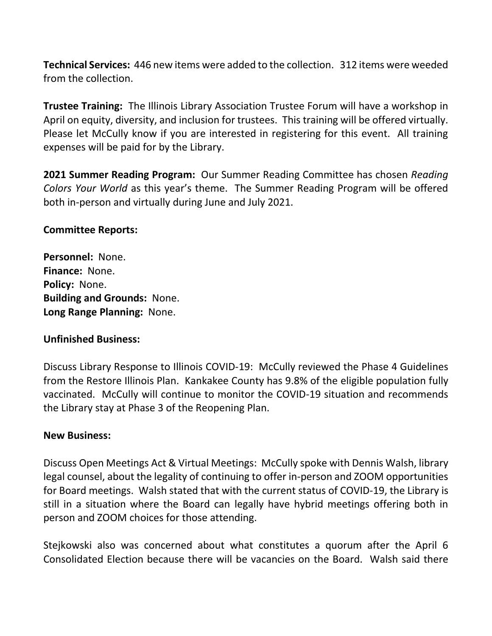**Technical Services:** 446 new items were added to the collection. 312 items were weeded from the collection.

**Trustee Training:** The Illinois Library Association Trustee Forum will have a workshop in April on equity, diversity, and inclusion for trustees. This training will be offered virtually. Please let McCully know if you are interested in registering for this event. All training expenses will be paid for by the Library.

**2021 Summer Reading Program:** Our Summer Reading Committee has chosen *Reading Colors Your World* as this year's theme. The Summer Reading Program will be offered both in-person and virtually during June and July 2021.

### **Committee Reports:**

**Personnel:** None. **Finance:** None. **Policy:** None. **Building and Grounds:** None. **Long Range Planning:** None.

### **Unfinished Business:**

Discuss Library Response to Illinois COVID-19: McCully reviewed the Phase 4 Guidelines from the Restore Illinois Plan. Kankakee County has 9.8% of the eligible population fully vaccinated. McCully will continue to monitor the COVID-19 situation and recommends the Library stay at Phase 3 of the Reopening Plan.

### **New Business:**

Discuss Open Meetings Act & Virtual Meetings: McCully spoke with Dennis Walsh, library legal counsel, about the legality of continuing to offer in-person and ZOOM opportunities for Board meetings. Walsh stated that with the current status of COVID-19, the Library is still in a situation where the Board can legally have hybrid meetings offering both in person and ZOOM choices for those attending.

Stejkowski also was concerned about what constitutes a quorum after the April 6 Consolidated Election because there will be vacancies on the Board. Walsh said there